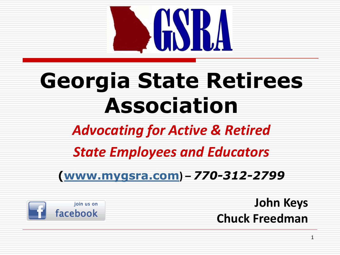

# **Georgia State Retirees Association**

## *Advocating for Active & Retired*

## *State Employees and Educators*

### **([www.mygsra.com](http://www.mygsra.com/)) –** *770-312-2799*



**John Keys Chuck Freedman**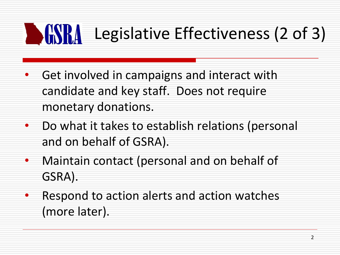### **SESRA** Legislative Effectiveness (2 of 3)

- Get involved in campaigns and interact with candidate and key staff. Does not require monetary donations.
- Do what it takes to establish relations (personal and on behalf of GSRA).
- Maintain contact (personal and on behalf of GSRA).
- Respond to action alerts and action watches (more later).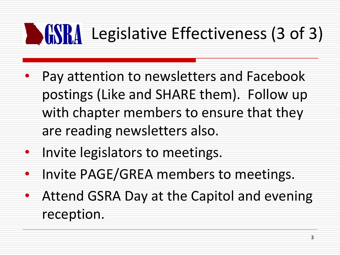### **DESERA** Legislative Effectiveness (3 of 3)

- Pay attention to newsletters and Facebook postings (Like and SHARE them). Follow up with chapter members to ensure that they are reading newsletters also.
- Invite legislators to meetings.
- Invite PAGE/GREA members to meetings.
- Attend GSRA Day at the Capitol and evening reception.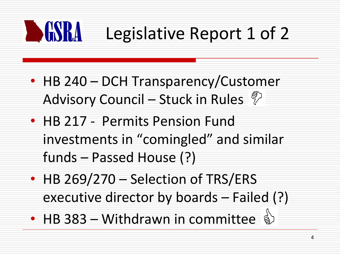

- HB 240 DCH Transparency/Customer Advisory Council – Stuck in Rules  $\sqrt[\mathcal{E}]{ }$
- HB 217 Permits Pension Fund investments in "comingled" and similar funds – Passed House (?)
- HB 269/270 Selection of TRS/ERS executive director by boards – Failed (?)
- HB 383 Withdrawn in committee  $\mathbf{\mathcal{L}}$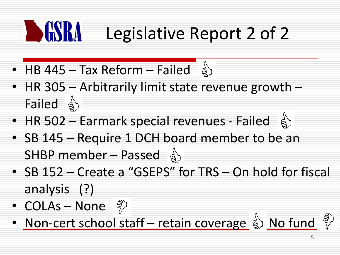### **BEST** Legislative Report 2 of 2

- $\overline{HB}$  445 Tax Reform Failed  $\frac{1}{9}$
- HR 305 Arbitrarily limit state revenue growth Failed &
- HR 502 Earmark special revenues Failed  $\hat{a}$
- SB 145 Require 1 DCH board member to be an SHBP member – Passed  $\frac{1}{8}$
- SB 152 Create a "GSEPS" for TRS On hold for fiscal analysis (?)
- COLAs None  $\binom{3}{7}$
- Non-cert school staff retain coverage  $\mathcal{L}$  No fund  $\mathcal{L}$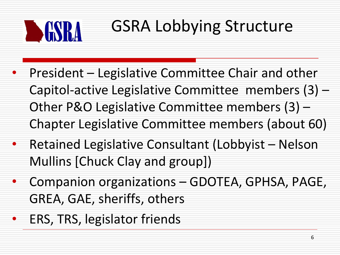

## GSRA Lobbying Structure

- President Legislative Committee Chair and other Capitol-active Legislative Committee members (3) – Other P&O Legislative Committee members (3) – Chapter Legislative Committee members (about 60)
- Retained Legislative Consultant (Lobbyist Nelson Mullins [Chuck Clay and group])
- Companion organizations GDOTEA, GPHSA, PAGE, GREA, GAE, sheriffs, others
- ERS, TRS, legislator friends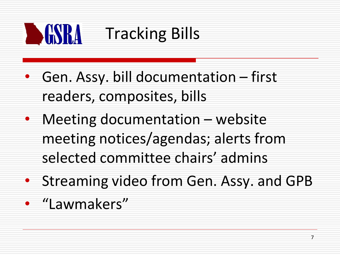

# **The South Stracking Bills**

- Gen. Assy. bill documentation first readers, composites, bills
- Meeting documentation website meeting notices/agendas; alerts from selected committee chairs' admins
- Streaming video from Gen. Assy. and GPB
- "Lawmakers"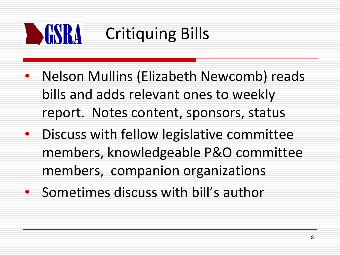

- Nelson Mullins (Elizabeth Newcomb) reads bills and adds relevant ones to weekly report. Notes content, sponsors, status
- Discuss with fellow legislative committee members, knowledgeable P&O committee members, companion organizations
- Sometimes discuss with bill's author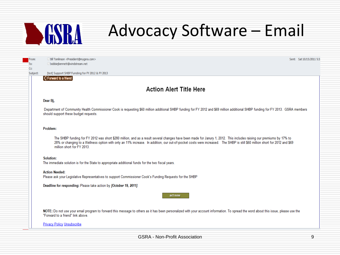# **DESRA**

## **Advocacy Software – Email**

From: To: Cc:

Subject:

Bill Tomlinson <President@mygsra.com> bobbietbennett@windstream.net [test] Support SHBP Funding for FY 2012 & FY 2013 Sent: Sat 10/15/2011 5:31

#### $\vert$   $\vert$  Forward to a friend

#### **Action Alert Title Here**

#### Dear Bi.

Department of Community Health Commissioner Cook is requesting \$60 million additional SHBP funding for FY 2012 and \$69 million additional SHBP funding for FY 2013. GSRA members should support these budget requests.

#### Problem:

The SHBP funding for FY 2012 was short \$280 million, and as a result several changes have been made for Janury 1, 2012. This includes raising our premiums by 17% to 28% or changing to a Wellness option with only an 11% increase. In addition, our out-of-pocket costs were increased. The SHBP is still \$60 million short for 2012 and \$69 million short for FY 2013.

#### Solution:

The immediate solution is for the State to appropriate additional funds for the two fiscal years.

#### **Action Needed:**

Please ask your Legislative Representatives to support Commissioner Cook's Funding Requests for the SHBP

Deadline for responding: Please take action by [October 19, 2011].

act now

NOTE: Do not use your email program to forward this message to others as it has been personalized with your account information. To spread the word about this issue, please use the "Forward to a friend" link above.

**Privacy Policy Unsubscribe**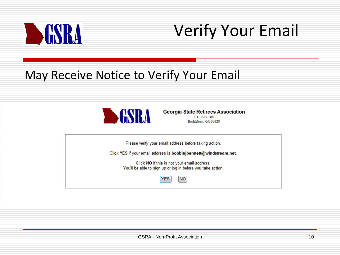

## Verify Your Email

### May Receive Notice to Verify Your Email



**Georgia State Retirees Association** P.O. Box 108 Bethlehem, GA 30620

Please verify your email address before taking action.

Click YES if your email address is bobbiejbennett@windstream.net.

Click NO if this is not your email address. You'll be able to sign up or log in before you take action.

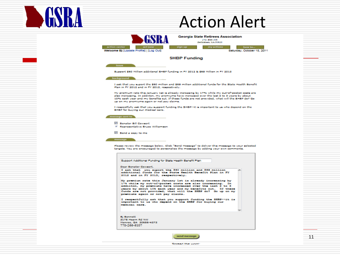

## Action Alert

| <b>Georgia State Retirees Association</b>                                                             |    |
|-------------------------------------------------------------------------------------------------------|----|
| P.O. Box 108                                                                                          |    |
|                                                                                                       |    |
| Bethlehem, GA 30620                                                                                   |    |
|                                                                                                       |    |
| action center<br>act now<br>how to<br>myactions<br>sign up                                            |    |
|                                                                                                       |    |
| Welcome BJ [Update Profile]   [Log Out]<br>Saturday, October 15, 2011                                 |    |
|                                                                                                       |    |
|                                                                                                       |    |
|                                                                                                       |    |
| <b>SHBP Funding</b>                                                                                   |    |
|                                                                                                       |    |
|                                                                                                       |    |
|                                                                                                       |    |
| <b>Issue</b>                                                                                          |    |
|                                                                                                       |    |
|                                                                                                       |    |
| Support \$60 Million additional SHSP funding in FY 2012 & \$69 Million in FY 2013                     |    |
|                                                                                                       |    |
|                                                                                                       |    |
| background                                                                                            |    |
|                                                                                                       |    |
|                                                                                                       |    |
| I cak that you supert the \$60 million and \$69 million additional funds for the State Health Benefit |    |
|                                                                                                       |    |
| Plan in FY 2012 and in FY 2013, respectively.                                                         |    |
|                                                                                                       |    |
|                                                                                                       |    |
| My promium rate this January 1st is already increasing by 17% while my out-of-pocket costs are        |    |
| also increasing. In addition, my premiums have increased over the last 2 to 3 years by about          |    |
|                                                                                                       |    |
| 10% each year and my benefits out. If these funds are not provided, what will the SHBP do? Go         |    |
| up on my promiums again or not pay claims.                                                            |    |
|                                                                                                       |    |
|                                                                                                       |    |
| I respectfully sak that you support funding the SHBP++It is important to us who depend on the         |    |
|                                                                                                       |    |
| SHBP for buying our modical care.                                                                     |    |
|                                                                                                       |    |
|                                                                                                       |    |
| message sent to                                                                                       |    |
|                                                                                                       |    |
|                                                                                                       |    |
| <b>El Senator Bill Cowsert</b>                                                                        |    |
|                                                                                                       |    |
| V Representative Bruce Williamson                                                                     |    |
|                                                                                                       |    |
|                                                                                                       |    |
| <b>El Send a copy to me</b>                                                                           |    |
|                                                                                                       |    |
|                                                                                                       |    |
|                                                                                                       |    |
| message                                                                                               |    |
|                                                                                                       |    |
|                                                                                                       |    |
| Please review the message below. Click "Send Message" to deliver this message to your selected        |    |
| tergets. You are encouraged to personalise the message by adding your own comments.                   |    |
|                                                                                                       |    |
|                                                                                                       |    |
|                                                                                                       |    |
|                                                                                                       |    |
|                                                                                                       |    |
| Support Additional Funding for State Health Benefit Plan                                              |    |
|                                                                                                       |    |
|                                                                                                       |    |
| Deer Senator Cowsert,                                                                                 |    |
|                                                                                                       |    |
| I ask that you suport the \$60 million and \$69 million                                               |    |
| additional funds for the State Bealth Benefit Plan in Ff                                              |    |
| 2012 and in FY 2013, respectively.                                                                    |    |
|                                                                                                       |    |
|                                                                                                       |    |
| My premium rate this January lat is already increasing by                                             |    |
| 17% while my out-of-pocket costs are also increasing. In                                              |    |
|                                                                                                       |    |
| addiiton, my premiums have increased over the last 2 to 3                                             |    |
| years by about 10% each year and my benefits out. If these                                            |    |
| funds are not provided, what will the SHBP do? Go up on my                                            |    |
|                                                                                                       |    |
| premiums again or not pay claims.                                                                     |    |
|                                                                                                       |    |
| I respectfully ask that you support funding the SHBP--it is                                           |    |
| important to us who depend on the SHMP for buying our                                                 |    |
|                                                                                                       |    |
| medical care.                                                                                         |    |
|                                                                                                       |    |
|                                                                                                       |    |
|                                                                                                       |    |
|                                                                                                       |    |
|                                                                                                       |    |
| <b>BI Bennett</b>                                                                                     |    |
| 3175 Hoorn Rd NW                                                                                      |    |
|                                                                                                       |    |
| Monroc, GA 30656-4373                                                                                 |    |
| 770-266-6107                                                                                          |    |
|                                                                                                       |    |
|                                                                                                       |    |
|                                                                                                       |    |
|                                                                                                       |    |
|                                                                                                       |    |
| send message                                                                                          | 11 |
|                                                                                                       |    |
|                                                                                                       |    |

Showed the words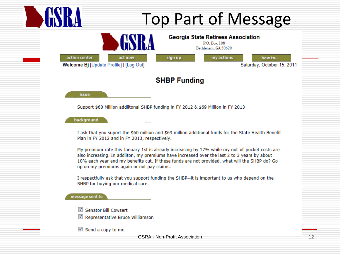#### **Top Part of Message Georgia State Retirees Association** P.O. Box 108 Bethlehem, GA 30620 my actions act now sign up how to... Welcome Bj [Update Profile] | [Log Out] Saturday, October 15, 2011

#### **SHBP Funding**

issue

Support \$60 Million addiitonal SHBP funding in FY 2012 & \$69 Million in FY 2013

background

action center

I ask that you suport the \$60 million and \$69 million additional funds for the State Health Benefit Plan in FY 2012 and in FY 2013, respectively.

My premium rate this January 1st is already increasing by 17% while my out-of-pocket costs are also increasing. In addiiton, my premiums have increased over the last 2 to 3 years by about 10% each year and my benefits cut. If these funds are not provided, what will the SHBP do? Go up on my premiums again or not pay claims.

I respectfully ask that you support funding the SHBP--it is important to us who depend on the SHBP for buying our medical care.

message sent to

- Senator Bill Cowsert
- Representative Bruce Williamson
- $\blacksquare$  Send a copy to me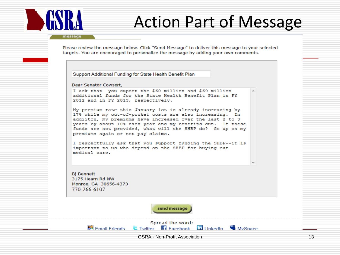## **Action Part of Message**

message

Please review the message below. Click "Send Message" to deliver this message to your selected targets. You are encouraged to personalize the message by adding your own comments.

Support Additional Funding for State Health Benefit Plan

Dear Senator Cowsert,

I ask that you suport the \$60 million and \$69 million additional funds for the State Health Benefit Plan in FY 2012 and in FY 2013, respectively.

My premium rate this January 1st is already increasing by 17% while my out-of-pocket costs are also increasing. In addiiton, my premiums have increased over the last 2 to 3 years by about 10% each year and my benefits cut. If these funds are not provided, what will the SHBP do? Go up on my premiums again or not pay claims.

I respectfully ask that you support funding the SHBP--it is important to us who depend on the SHBP for buying our medical care.

**Bi Bennett** 3175 Hearn Rd NW Monroe, GA 30656-4373 770-266-6107

**BR** Email Friends

send message

Spread the word:

**C** Twitter **El Facebook DulinkedIn W** MySpace

**GSRA - Non-Profit Association**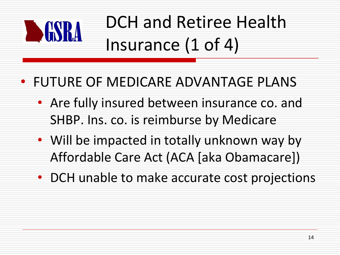

# DCH and Retiree Health Insurance (1 of 4)

### • FUTURE OF MEDICARE ADVANTAGE PLANS

- Are fully insured between insurance co. and SHBP. Ins. co. is reimburse by Medicare
- Will be impacted in totally unknown way by Affordable Care Act (ACA [aka Obamacare])
- DCH unable to make accurate cost projections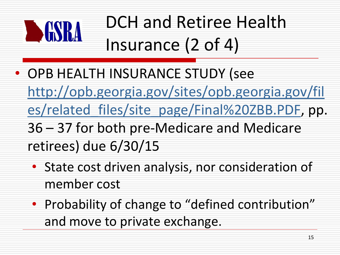

# DCH and Retiree Health Insurance (2 of 4)

- OPB HEALTH INSURANCE STUDY (see [http://opb.georgia.gov/sites/opb.georgia.gov/fil](http://opb.georgia.gov/sites/opb.georgia.gov/files/related_files/site_page/Final ZBB.PDF)
	- [es/related\\_files/site\\_page/Final%20ZBB.PDF](http://opb.georgia.gov/sites/opb.georgia.gov/files/related_files/site_page/Final ZBB.PDF), pp.
	- 36 37 for both pre-Medicare and Medicare retirees) due 6/30/15
		- State cost driven analysis, nor consideration of member cost
		- Probability of change to "defined contribution" and move to private exchange.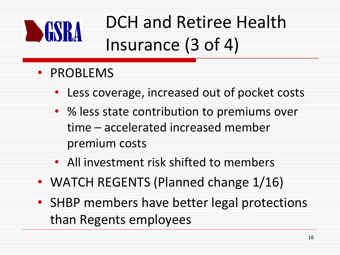

# DCH and Retiree Health Insurance (3 of 4)

- PROBLEMS
	- Less coverage, increased out of pocket costs
	- % less state contribution to premiums over time – accelerated increased member premium costs
	- All investment risk shifted to members
- WATCH REGENTS (Planned change 1/16)
- SHBP members have better legal protections than Regents employees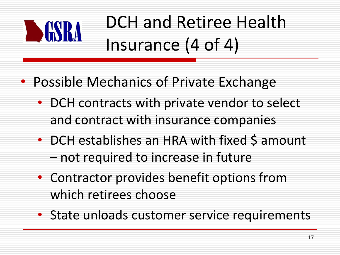

# DCH and Retiree Health Insurance (4 of 4)

- Possible Mechanics of Private Exchange
	- DCH contracts with private vendor to select and contract with insurance companies
	- DCH establishes an HRA with fixed \$ amount – not required to increase in future
	- Contractor provides benefit options from which retirees choose
	- State unloads customer service requirements